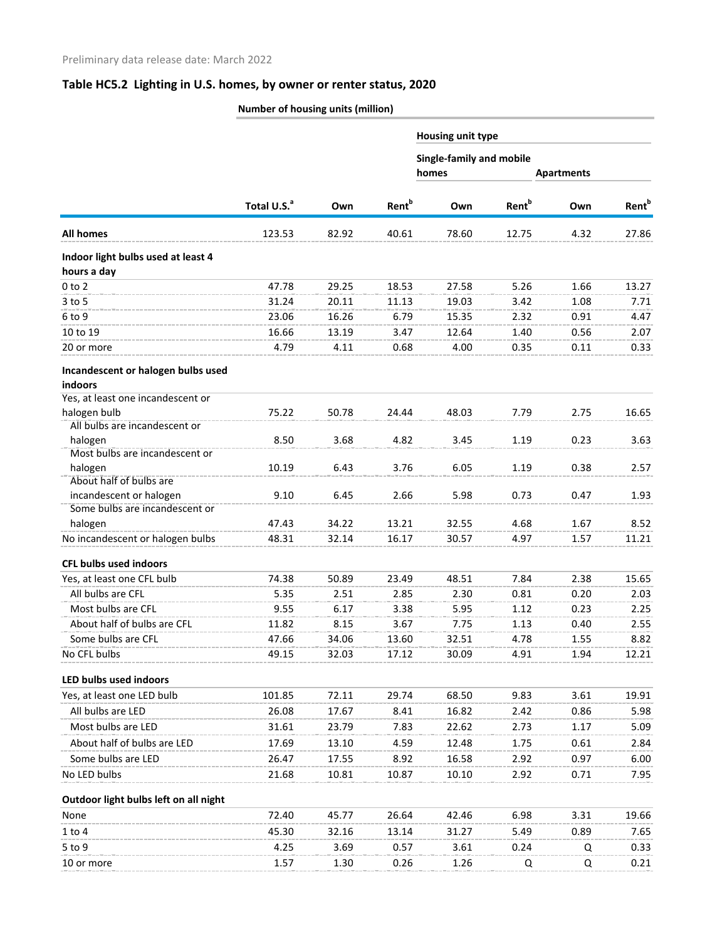# **Table HC5.2 Lighting in U.S. homes, by owner or renter status, 2020**

|                                                           | Number of housing units (million) |       |                          |                                   |                          |                   |                          |  |  |
|-----------------------------------------------------------|-----------------------------------|-------|--------------------------|-----------------------------------|--------------------------|-------------------|--------------------------|--|--|
|                                                           |                                   |       | <b>Rent</b> <sup>b</sup> | <b>Housing unit type</b>          |                          |                   |                          |  |  |
|                                                           | Total U.S. <sup>a</sup>           |       |                          | Single-family and mobile<br>homes |                          |                   |                          |  |  |
|                                                           |                                   |       |                          |                                   |                          | <b>Apartments</b> |                          |  |  |
|                                                           |                                   | Own   |                          | Own                               | <b>Rent</b> <sup>b</sup> | Own               | <b>Rent</b> <sup>b</sup> |  |  |
| <b>All homes</b>                                          | 123.53                            | 82.92 | 40.61                    | 78.60                             | 12.75                    | 4.32              | 27.86                    |  |  |
| Indoor light bulbs used at least 4                        |                                   |       |                          |                                   |                          |                   |                          |  |  |
| hours a day                                               |                                   |       |                          |                                   |                          |                   |                          |  |  |
| $0$ to $2$                                                | 47.78                             | 29.25 | 18.53                    | 27.58                             | 5.26                     | 1.66              | 13.27                    |  |  |
| $3$ to 5                                                  | 31.24                             | 20.11 | 11.13                    | 19.03                             | 3.42                     | 1.08              | 7.71                     |  |  |
| 6 to 9                                                    | 23.06                             | 16.26 | 6.79                     | 15.35                             | 2.32                     | 0.91              | 4.47                     |  |  |
| 10 to 19                                                  | 16.66                             | 13.19 | 3.47                     | 12.64                             | 1.40                     | 0.56              | 2.07                     |  |  |
| 20 or more                                                | 4.79                              | 4.11  | 0.68                     | 4.00                              | 0.35                     | 0.11              | 0.33                     |  |  |
| Incandescent or halogen bulbs used                        |                                   |       |                          |                                   |                          |                   |                          |  |  |
| indoors                                                   |                                   |       |                          |                                   |                          |                   |                          |  |  |
| Yes, at least one incandescent or                         |                                   |       |                          |                                   |                          |                   |                          |  |  |
| halogen bulb                                              | 75.22                             | 50.78 | 24.44                    | 48.03                             | 7.79                     | 2.75              | 16.65                    |  |  |
| All bulbs are incandescent or                             |                                   |       |                          |                                   |                          |                   |                          |  |  |
| halogen                                                   | 8.50                              | 3.68  | 4.82                     | 3.45                              | 1.19                     | 0.23              | 3.63                     |  |  |
| Most bulbs are incandescent or                            |                                   |       |                          |                                   |                          |                   |                          |  |  |
| halogen                                                   | 10.19                             | 6.43  | 3.76                     | 6.05                              | 1.19                     | 0.38              | 2.57                     |  |  |
| About half of bulbs are                                   |                                   |       |                          |                                   |                          |                   |                          |  |  |
| incandescent or halogen<br>Some bulbs are incandescent or | 9.10                              | 6.45  | 2.66                     | 5.98                              | 0.73                     | 0.47              | 1.93                     |  |  |
| halogen                                                   | 47.43                             | 34.22 | 13.21                    | 32.55                             | 4.68                     | 1.67              | 8.52                     |  |  |
| No incandescent or halogen bulbs                          | 48.31                             | 32.14 | 16.17                    | 30.57                             | 4.97                     | 1.57              | 11.21                    |  |  |
|                                                           |                                   |       |                          |                                   |                          |                   |                          |  |  |
| <b>CFL bulbs used indoors</b>                             |                                   |       |                          |                                   |                          |                   |                          |  |  |
| Yes, at least one CFL bulb                                | 74.38                             | 50.89 | 23.49                    | 48.51                             | 7.84                     | 2.38              | 15.65                    |  |  |
| All bulbs are CFL                                         | 5.35                              | 2.51  | 2.85                     | 2.30                              | 0.81                     | 0.20              | 2.03                     |  |  |
| Most bulbs are CFL                                        | 9.55                              | 6.17  | 3.38                     | 5.95                              | 1.12                     | 0.23              | 2.25                     |  |  |
| About half of bulbs are CFL                               | 11.82                             | 8.15  | 3.67                     | 7.75                              | 1.13                     | 0.40              | 2.55                     |  |  |
| Some bulbs are CFL                                        | 47.66                             | 34.06 | 13.60                    | 32.51                             | 4.78                     | 1.55              | 8.82                     |  |  |
| No CFL bulbs                                              | 49.15                             | 32.03 | 17.12                    | 30.09                             | 4.91                     | 1.94              | 12.21                    |  |  |
| LED bulbs used indoors                                    |                                   |       |                          |                                   |                          |                   |                          |  |  |
| Yes, at least one LED bulb                                | 101.85                            | 72.11 | 29.74                    | 68.50                             | 9.83                     | 3.61              | 19.91                    |  |  |
| All bulbs are LED                                         | 26.08                             | 17.67 | 8.41                     | 16.82                             | 2.42                     | 0.86              | 5.98                     |  |  |
| Most bulbs are LED                                        | 31.61                             | 23.79 | 7.83                     | 22.62                             | 2.73                     | 1.17              | 5.09                     |  |  |
| About half of bulbs are LED                               | 17.69                             | 13.10 | 4.59                     | 12.48                             | 1.75                     | 0.61              | 2.84                     |  |  |
| Some bulbs are LED                                        | 26.47                             | 17.55 | 8.92                     | 16.58                             | 2.92                     | 0.97              | 6.00                     |  |  |
| No LED bulbs                                              | 21.68                             | 10.81 | 10.87                    | 10.10                             | 2.92                     | 0.71              | 7.95                     |  |  |
| Outdoor light bulbs left on all night                     |                                   |       |                          |                                   |                          |                   |                          |  |  |
| None                                                      | 72.40                             | 45.77 | 26.64                    | 42.46                             | 6.98                     | 3.31              | 19.66                    |  |  |
| $1$ to $4$                                                | 45.30                             | 32.16 | 13.14                    | 31.27                             | 5.49                     | 0.89              | 7.65                     |  |  |
|                                                           |                                   |       |                          |                                   |                          |                   |                          |  |  |
| 5 to 9                                                    | 4.25                              | 3.69  | 0.57                     | 3.61                              | 0.24                     | Q                 | 0.33                     |  |  |
| 10 or more                                                | 1.57                              | 1.30  | 0.26                     | 1.26                              | Q                        | Q                 | 0.21                     |  |  |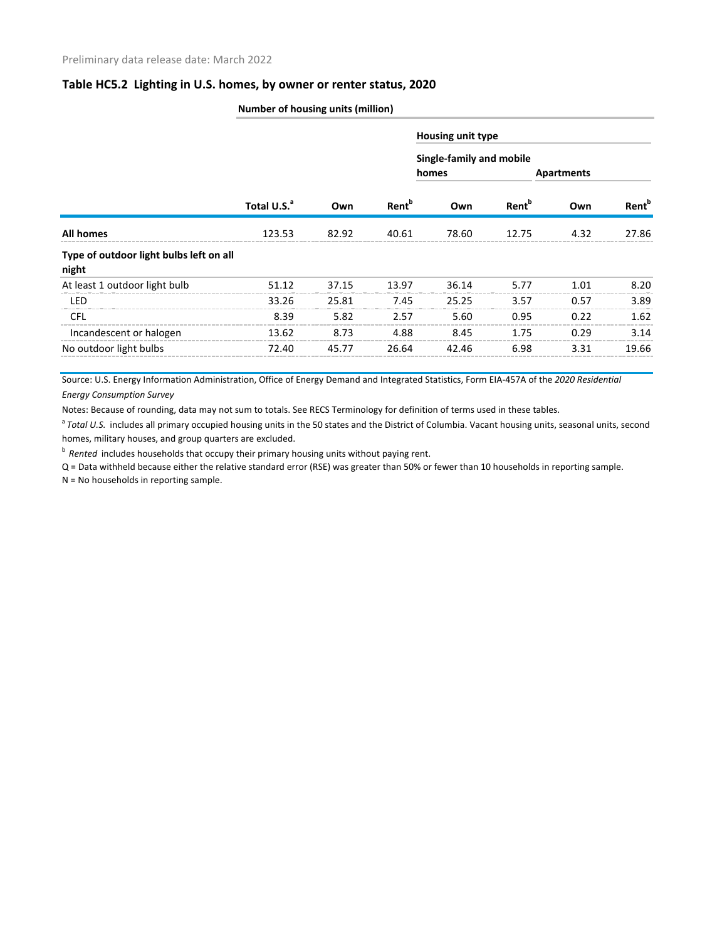#### **Table HC5.2 Lighting in U.S. homes, by owner or renter status, 2020**

|                                                  | Number of nousing units (million) |       |                          |                                   |                          |            |                   |  |  |  |
|--------------------------------------------------|-----------------------------------|-------|--------------------------|-----------------------------------|--------------------------|------------|-------------------|--|--|--|
|                                                  | Total U.S. <sup>a</sup>           |       | <b>Rent</b> <sup>b</sup> | Housing unit type                 |                          |            |                   |  |  |  |
|                                                  |                                   | Own   |                          | Single-family and mobile<br>homes |                          | Apartments |                   |  |  |  |
|                                                  |                                   |       |                          | Own                               | <b>Rent</b> <sup>b</sup> | Own        | Rent <sup>b</sup> |  |  |  |
| <b>All homes</b>                                 | 123.53                            | 82.92 | 40.61                    | 78.60                             | 12.75                    | 4.32       | 27.86             |  |  |  |
| Type of outdoor light bulbs left on all<br>night |                                   |       |                          |                                   |                          |            |                   |  |  |  |
| At least 1 outdoor light bulb                    | 51.12                             | 37.15 | 13.97                    | 36.14                             | 5.77                     | 1.01       | 8.20              |  |  |  |
| LED                                              | 33.26                             | 25.81 | 7.45                     | 25.25                             | 3.57                     | 0.57       | 3.89              |  |  |  |
| <b>CFL</b>                                       | 8.39                              | 5.82  | 2.57                     | 5.60                              | 0.95                     | 0.22       | 1.62              |  |  |  |
| Incandescent or halogen                          | 13.62                             | 8.73  | 4.88                     | 8.45                              | 1.75                     | 0.29       | 3.14              |  |  |  |
| No outdoor light bulbs                           | 72.40                             | 45.77 | 26.64                    | 42.46                             | 6.98                     | 3.31       | 19.66             |  |  |  |

**Number of housing units (million)**

Source: U.S. Energy Information Administration, Office of Energy Demand and Integrated Statistics, Form EIA-457A of the *2020 Residential Energy Consumption Survey*

Notes: Because of rounding, data may not sum to totals. See RECS Terminology for definition of terms used in these tables.

<sup>a</sup> Total U.S. includes all primary occupied housing units in the 50 states and the District of Columbia. Vacant housing units, seasonal units, second homes, military houses, and group quarters are excluded.

<sup>b</sup> Rented includes households that occupy their primary housing units without paying rent.

Q = Data withheld because either the relative standard error (RSE) was greater than 50% or fewer than 10 households in reporting sample.

N = No households in reporting sample.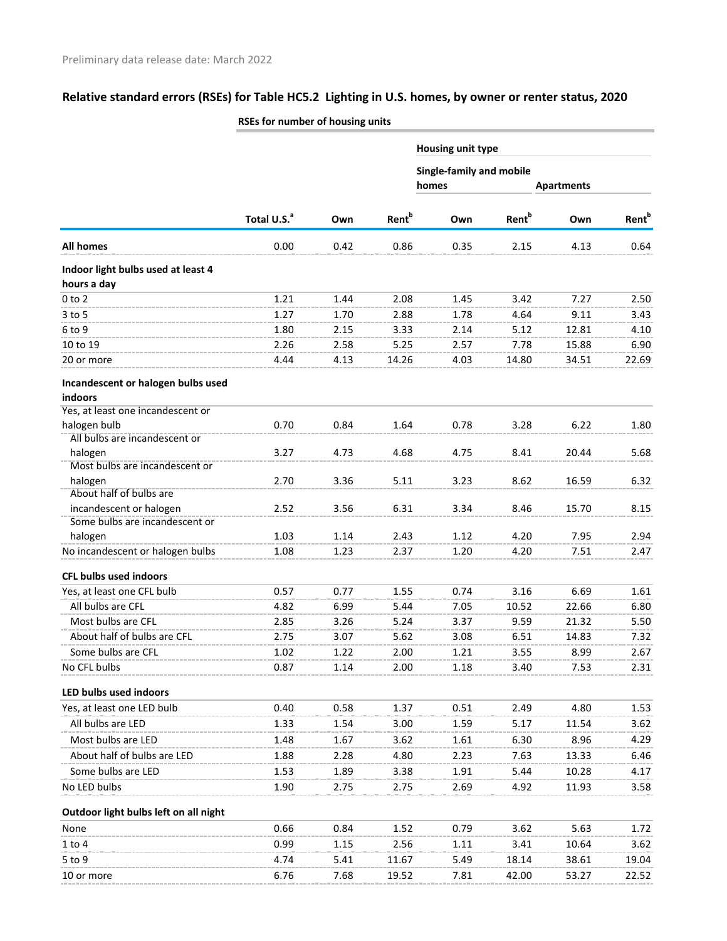# **Relative standard errors (RSEs) for Table HC5.2 Lighting in U.S. homes, by owner or renter status, 2020**

|                                                           | ROES for number of nousing units |      |                          |                                          |                          |                   |                          |
|-----------------------------------------------------------|----------------------------------|------|--------------------------|------------------------------------------|--------------------------|-------------------|--------------------------|
|                                                           |                                  |      |                          | Housing unit type                        |                          |                   |                          |
|                                                           | Total U.S. <sup>a</sup>          | Own  | <b>Rent</b> <sup>b</sup> | <b>Single-family and mobile</b><br>homes |                          | <b>Apartments</b> |                          |
|                                                           |                                  |      |                          | Own                                      | <b>Rent</b> <sup>b</sup> | Own               | <b>Rent</b> <sup>b</sup> |
| <b>All homes</b>                                          | 0.00                             | 0.42 | 0.86                     | 0.35                                     | 2.15                     | 4.13              | 0.64                     |
| Indoor light bulbs used at least 4                        |                                  |      |                          |                                          |                          |                   |                          |
| hours a day                                               |                                  |      |                          |                                          |                          |                   |                          |
| $0$ to $2$                                                | 1.21                             | 1.44 | 2.08                     | 1.45                                     | 3.42                     | 7.27              | 2.50                     |
| 3 to 5                                                    | 1.27                             | 1.70 | 2.88                     | 1.78                                     | 4.64                     | 9.11              | 3.43                     |
| 6 to 9                                                    | 1.80                             | 2.15 | 3.33                     | 2.14                                     | 5.12                     | 12.81             | 4.10                     |
| 10 to 19                                                  | 2.26                             | 2.58 | 5.25                     | 2.57                                     | 7.78                     | 15.88             | 6.90                     |
| 20 or more                                                | 4.44                             | 4.13 | 14.26                    | 4.03                                     | 14.80                    | 34.51             | 22.69                    |
| Incandescent or halogen bulbs used<br>indoors             |                                  |      |                          |                                          |                          |                   |                          |
| Yes, at least one incandescent or                         |                                  |      |                          |                                          |                          |                   |                          |
| halogen bulb                                              | 0.70                             | 0.84 | 1.64                     | 0.78                                     | 3.28                     | 6.22              | 1.80                     |
| All bulbs are incandescent or                             |                                  |      |                          |                                          |                          |                   |                          |
| halogen                                                   | 3.27                             | 4.73 | 4.68                     | 4.75                                     | 8.41                     | 20.44             | 5.68                     |
| Most bulbs are incandescent or                            |                                  |      |                          |                                          |                          |                   |                          |
| halogen<br>About half of bulbs are                        | 2.70                             | 3.36 | 5.11                     | 3.23                                     | 8.62                     | 16.59             | 6.32                     |
|                                                           |                                  | 3.56 | 6.31                     |                                          |                          |                   |                          |
| incandescent or halogen<br>Some bulbs are incandescent or | 2.52                             |      |                          | 3.34                                     | 8.46                     | 15.70             | 8.15                     |
| halogen                                                   | 1.03                             | 1.14 | 2.43                     | 1.12                                     | 4.20                     | 7.95              | 2.94                     |
| No incandescent or halogen bulbs                          | 1.08                             | 1.23 | 2.37                     | 1.20                                     | 4.20                     | 7.51              | 2.47                     |
| <b>CFL bulbs used indoors</b>                             |                                  |      |                          |                                          |                          |                   |                          |
|                                                           |                                  |      |                          |                                          |                          |                   |                          |
| Yes, at least one CFL bulb                                | 0.57                             | 0.77 | 1.55                     | 0.74                                     | 3.16                     | 6.69              | 1.61                     |
| All bulbs are CFL                                         | 4.82                             | 6.99 | 5.44                     | 7.05                                     | 10.52                    | 22.66             | 6.80                     |
| Most bulbs are CFL                                        | 2.85                             | 3.26 | 5.24                     | 3.37                                     | 9.59                     | 21.32             | 5.50                     |
| About half of bulbs are CFL                               | 2.75                             | 3.07 | 5.62                     | 3.08                                     | 6.51                     | 14.83             | 7.32                     |
| Some bulbs are CFL                                        | 1.02                             | 1.22 | 2.00                     | 1.21                                     | 3.55                     | 8.99              | 2.67                     |
| No CFL bulbs                                              | 0.87                             | 1.14 | 2.00                     | 1.18                                     | 3.40                     | 7.53              | 2.31                     |
| LED bulbs used indoors                                    |                                  |      |                          |                                          |                          |                   |                          |
| Yes, at least one LED bulb                                | 0.40                             | 0.58 | 1.37                     | 0.51                                     | 2.49                     | 4.80              | 1.53                     |
| All bulbs are LED                                         | 1.33                             | 1.54 | 3.00                     | 1.59                                     | 5.17                     | 11.54             | 3.62                     |
| Most bulbs are LED                                        | 1.48                             | 1.67 | 3.62                     | 1.61                                     | 6.30                     | 8.96              | 4.29                     |
| About half of bulbs are LED                               | 1.88                             | 2.28 | 4.80                     | 2.23                                     | 7.63                     | 13.33             | 6.46                     |
| Some bulbs are LED                                        | 1.53                             | 1.89 | 3.38                     | 1.91                                     | 5.44                     | 10.28             | 4.17                     |
| No LED bulbs                                              | 1.90                             | 2.75 | 2.75                     | 2.69                                     | 4.92                     | 11.93             | 3.58                     |
| Outdoor light bulbs left on all night                     |                                  |      |                          |                                          |                          |                   |                          |
| None                                                      | 0.66                             | 0.84 | 1.52                     | 0.79                                     | 3.62                     | 5.63              | 1.72                     |
| $1$ to $4$                                                | 0.99                             | 1.15 | 2.56                     | 1.11                                     | 3.41                     | 10.64             | 3.62                     |
| $5$ to 9                                                  | 4.74                             | 5.41 | 11.67                    | 5.49                                     | 18.14                    | 38.61             | 19.04                    |
| 10 or more                                                | 6.76                             | 7.68 | 19.52                    | 7.81                                     | 42.00                    | 53.27             | 22.52                    |
|                                                           |                                  |      |                          |                                          |                          |                   |                          |

### **RSEs for number of housing units**